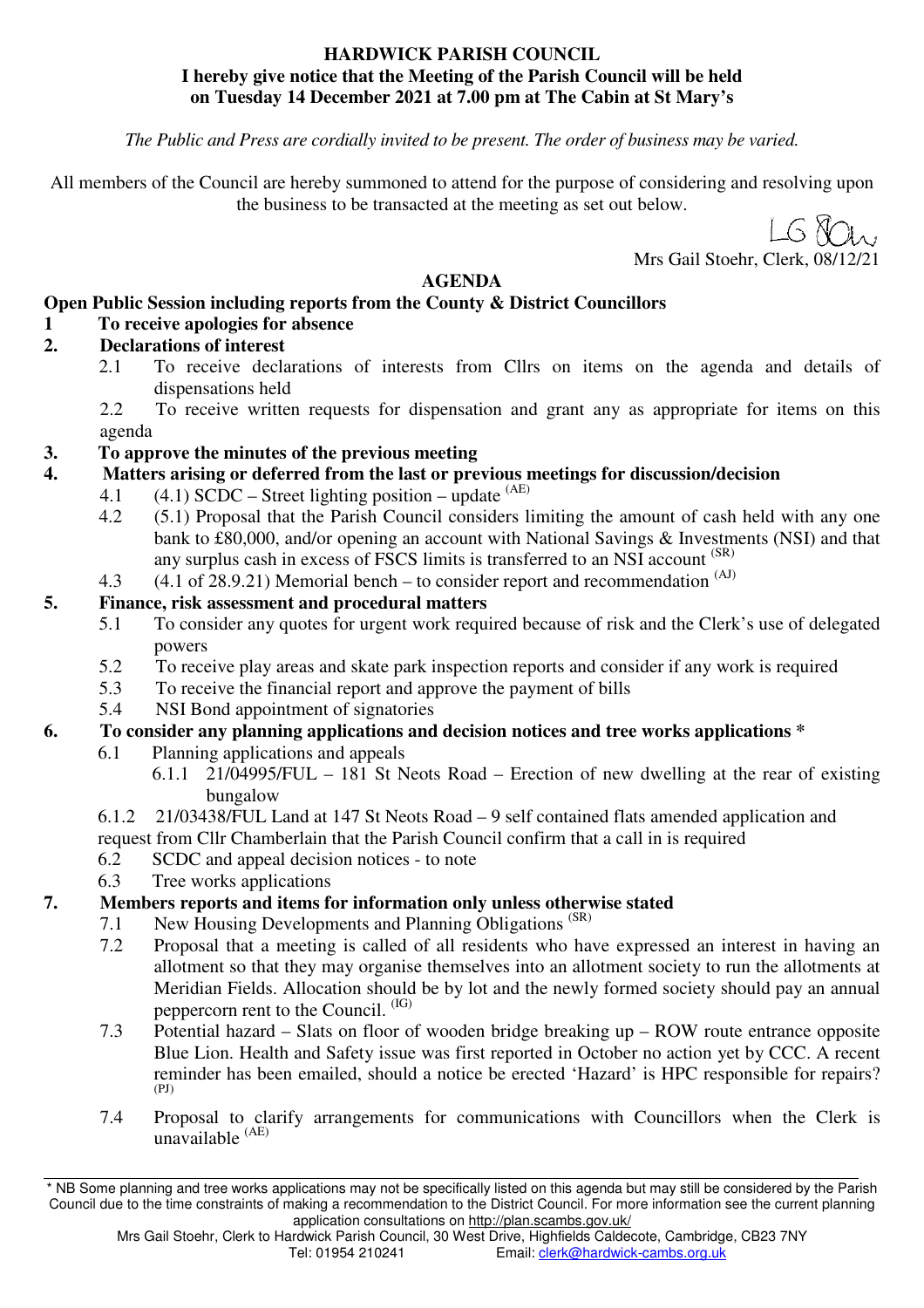#### **HARDWICK PARISH COUNCIL I hereby give notice that the Meeting of the Parish Council will be held on Tuesday 14 December 2021 at 7.00 pm at The Cabin at St Mary's**

*The Public and Press are cordially invited to be present. The order of business may be varied.* 

All members of the Council are hereby summoned to attend for the purpose of considering and resolving upon the business to be transacted at the meeting as set out below.

 $1.68$ 

Mrs Gail Stoehr, Clerk, 08/1

# **AGENDA**

#### **Open Public Session including reports from the County & District Councillors**

# **1 To receive apologies for absence**

#### **2. Declarations of interest**

- 2.1 To receive declarations of interests from Cllrs on items on the agenda and details of dispensations held
- 2.2 To receive written requests for dispensation and grant any as appropriate for items on this agenda

## **3. To approve the minutes of the previous meeting**

- **4. Matters arising or deferred from the last or previous meetings for discussion/decision**
	- 4.1  $(4.1)$  SCDC Street lighting position update  $(AE)$
	- 4.2 (5.1) Proposal that the Parish Council considers limiting the amount of cash held with any one bank to £80,000, and/or opening an account with National Savings & Investments (NSI) and that any surplus cash in excess of FSCS limits is transferred to an NSI account (SR)
	- 4.3  $(4.1 \text{ of } 28.9.21)$  Memorial bench to consider report and recommendation  $(A)$

## **5. Finance, risk assessment and procedural matters**

- 5.1 To consider any quotes for urgent work required because of risk and the Clerk's use of delegated powers
- 5.2 To receive play areas and skate park inspection reports and consider if any work is required
- 5.3 To receive the financial report and approve the payment of bills
- 5.4 NSI Bond appointment of signatories

# **6. To consider any planning applications and decision notices and tree works applications \***

- 6.1 Planning applications and appeals
	- 6.1.1 21/04995/FUL 181 St Neots Road Erection of new dwelling at the rear of existing bungalow
- 6.1.2 21/03438/FUL Land at 147 St Neots Road 9 self contained flats amended application and
- request from Cllr Chamberlain that the Parish Council confirm that a call in is required
- 6.2 SCDC and appeal decision notices to note
- 6.3 Tree works applications

# **7. Members reports and items for information only unless otherwise stated**

- 7.1 New Housing Developments and Planning Obligations<sup>(SR)</sup>
- 7.2 Proposal that a meeting is called of all residents who have expressed an interest in having an allotment so that they may organise themselves into an allotment society to run the allotments at Meridian Fields. Allocation should be by lot and the newly formed society should pay an annual peppercorn rent to the Council. (IG)
- 7.3 Potential hazard Slats on floor of wooden bridge breaking up ROW route entrance opposite Blue Lion. Health and Safety issue was first reported in October no action yet by CCC. A recent reminder has been emailed, should a notice be erected 'Hazard' is HPC responsible for repairs? (PJ)
- 7.4 Proposal to clarify arrangements for communications with Councillors when the Clerk is unavailable (AE)

<sup>\*</sup> NB Some planning and tree works applications may not be specifically listed on this agenda but may still be considered by the Parish Council due to the time constraints of making a recommendation to the District Council. For more information see the current planning application consultations on http://plan.scambs.gov.uk/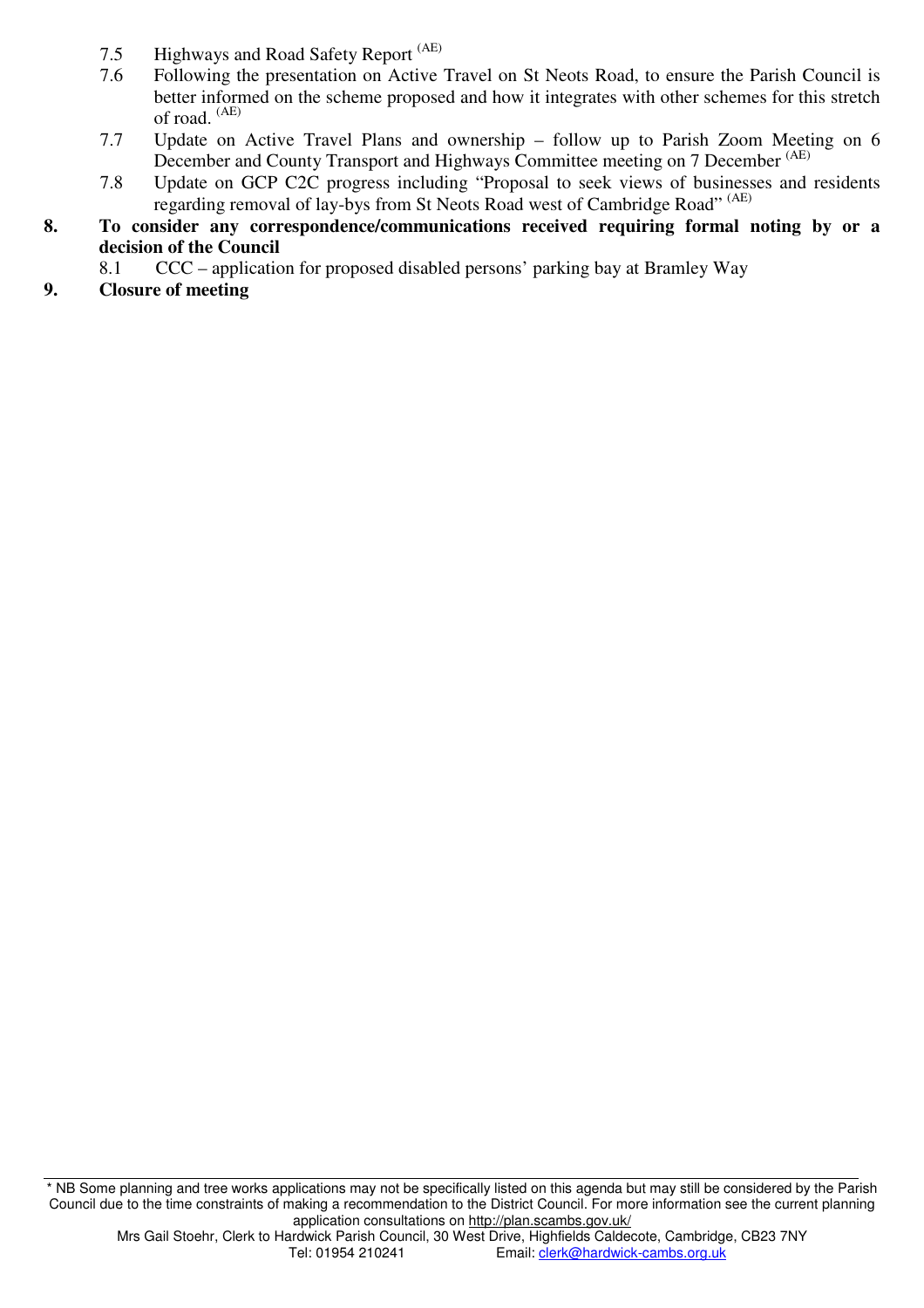- 7.5 Highways and Road Safety Report <sup>(AE)</sup>
- 7.6 Following the presentation on Active Travel on St Neots Road, to ensure the Parish Council is better informed on the scheme proposed and how it integrates with other schemes for this stretch of road. (AE)
- 7.7 Update on Active Travel Plans and ownership follow up to Parish Zoom Meeting on 6 December and County Transport and Highways Committee meeting on 7 December (AE)
- 7.8 Update on GCP C2C progress including "Proposal to seek views of businesses and residents regarding removal of lay-bys from St Neots Road west of Cambridge Road" (AE)
- **8. To consider any correspondence/communications received requiring formal noting by or a decision of the Council** 
	- 8.1 CCC application for proposed disabled persons' parking bay at Bramley Way
- **9. Closure of meeting**

\* NB Some planning and tree works applications may not be specifically listed on this agenda but may still be considered by the Parish Council due to the time constraints of making a recommendation to the District Council. For more information see the current planning application consultations on http://plan.scambs.gov.uk/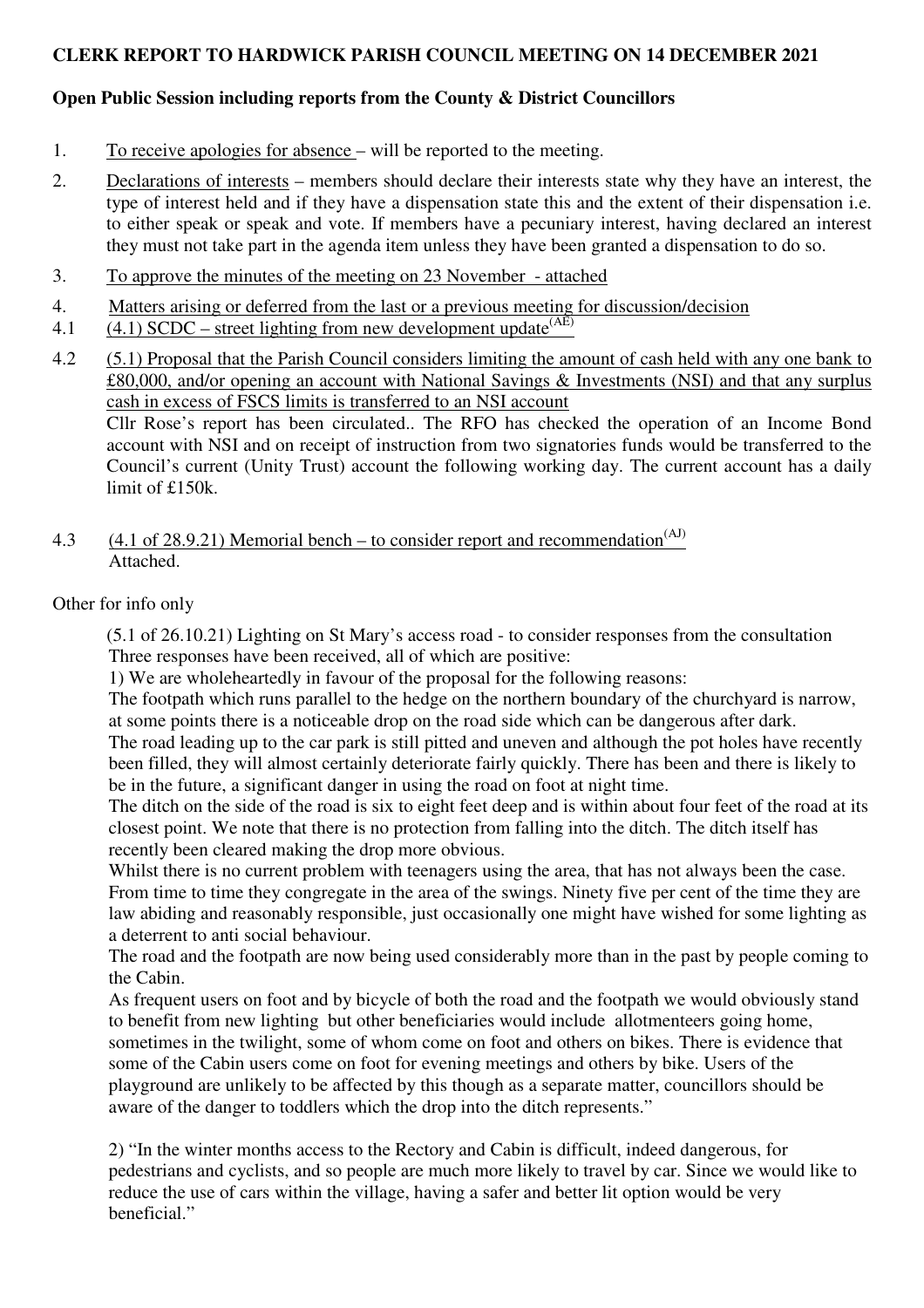#### **CLERK REPORT TO HARDWICK PARISH COUNCIL MEETING ON 14 DECEMBER 2021**

## **Open Public Session including reports from the County & District Councillors**

- 1. To receive apologies for absence will be reported to the meeting.
- 2. Declarations of interests members should declare their interests state why they have an interest, the type of interest held and if they have a dispensation state this and the extent of their dispensation i.e. to either speak or speak and vote. If members have a pecuniary interest, having declared an interest they must not take part in the agenda item unless they have been granted a dispensation to do so.
- 3. To approve the minutes of the meeting on 23 November attached
- 4. Matters arising or deferred from the last or a previous meeting for discussion/decision
- 4.1 (4.1) SCDC street lighting from new development update  $(AE)$

4.2 (5.1) Proposal that the Parish Council considers limiting the amount of cash held with any one bank to £80,000, and/or opening an account with National Savings & Investments (NSI) and that any surplus cash in excess of FSCS limits is transferred to an NSI account Cllr Rose's report has been circulated.. The RFO has checked the operation of an Income Bond account with NSI and on receipt of instruction from two signatories funds would be transferred to the Council's current (Unity Trust) account the following working day. The current account has a daily limit of £150k.

4.3 (4.1 of 28.9.21) Memorial bench – to consider report and recommendation<sup>(AJ)</sup> Attached.

Other for info only

(5.1 of 26.10.21) Lighting on St Mary's access road - to consider responses from the consultation Three responses have been received, all of which are positive:

1) We are wholeheartedly in favour of the proposal for the following reasons:

The footpath which runs parallel to the hedge on the northern boundary of the churchyard is narrow, at some points there is a noticeable drop on the road side which can be dangerous after dark.

The road leading up to the car park is still pitted and uneven and although the pot holes have recently been filled, they will almost certainly deteriorate fairly quickly. There has been and there is likely to be in the future, a significant danger in using the road on foot at night time.

The ditch on the side of the road is six to eight feet deep and is within about four feet of the road at its closest point. We note that there is no protection from falling into the ditch. The ditch itself has recently been cleared making the drop more obvious.

Whilst there is no current problem with teenagers using the area, that has not always been the case. From time to time they congregate in the area of the swings. Ninety five per cent of the time they are law abiding and reasonably responsible, just occasionally one might have wished for some lighting as a deterrent to anti social behaviour.

The road and the footpath are now being used considerably more than in the past by people coming to the Cabin.

As frequent users on foot and by bicycle of both the road and the footpath we would obviously stand to benefit from new lighting but other beneficiaries would include allotmenteers going home, sometimes in the twilight, some of whom come on foot and others on bikes. There is evidence that some of the Cabin users come on foot for evening meetings and others by bike. Users of the playground are unlikely to be affected by this though as a separate matter, councillors should be aware of the danger to toddlers which the drop into the ditch represents."

2) "In the winter months access to the Rectory and Cabin is difficult, indeed dangerous, for pedestrians and cyclists, and so people are much more likely to travel by car. Since we would like to reduce the use of cars within the village, having a safer and better lit option would be very beneficial"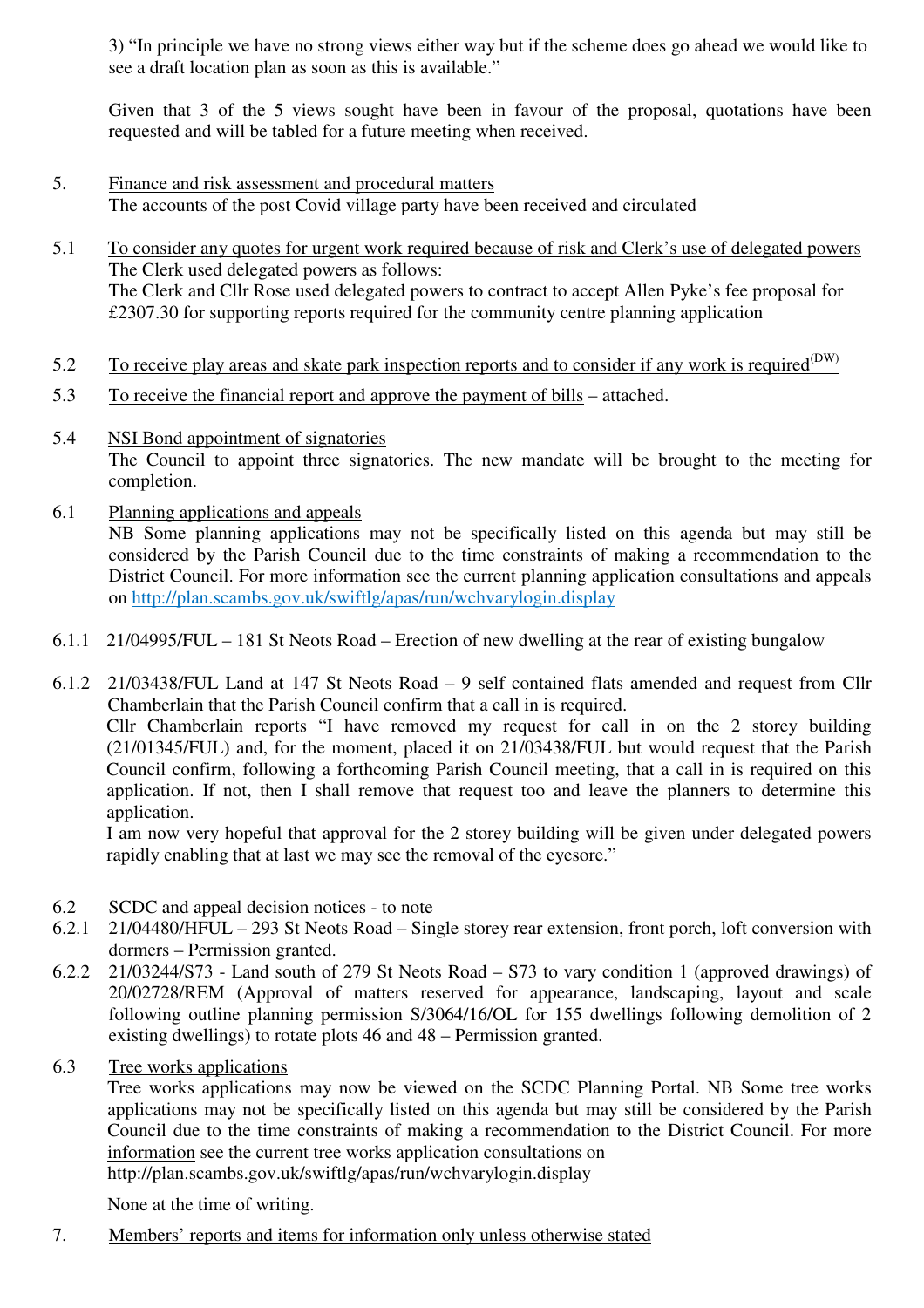3) "In principle we have no strong views either way but if the scheme does go ahead we would like to see a draft location plan as soon as this is available."

Given that 3 of the 5 views sought have been in favour of the proposal, quotations have been requested and will be tabled for a future meeting when received.

- 5. Finance and risk assessment and procedural matters The accounts of the post Covid village party have been received and circulated
- 5.1 To consider any quotes for urgent work required because of risk and Clerk's use of delegated powers The Clerk used delegated powers as follows: The Clerk and Cllr Rose used delegated powers to contract to accept Allen Pyke's fee proposal for £2307.30 for supporting reports required for the community centre planning application
- 5.2 To receive play areas and skate park inspection reports and to consider if any work is required<sup>(DW)</sup>
- 5.3 To receive the financial report and approve the payment of bills attached.
- 5.4 NSI Bond appointment of signatories The Council to appoint three signatories. The new mandate will be brought to the meeting for completion.
- 6.1 Planning applications and appeals NB Some planning applications may not be specifically listed on this agenda but may still be considered by the Parish Council due to the time constraints of making a recommendation to the

District Council. For more information see the current planning application consultations and appeals on http://plan.scambs.gov.uk/swiftlg/apas/run/wchvarylogin.display

6.1.1 21/04995/FUL – 181 St Neots Road – Erection of new dwelling at the rear of existing bungalow

6.1.2 21/03438/FUL Land at 147 St Neots Road – 9 self contained flats amended and request from Cllr Chamberlain that the Parish Council confirm that a call in is required. Cllr Chamberlain reports "I have removed my request for call in on the 2 storey building (21/01345/FUL) and, for the moment, placed it on 21/03438/FUL but would request that the Parish Council confirm, following a forthcoming Parish Council meeting, that a call in is required on this application. If not, then I shall remove that request too and leave the planners to determine this application.

I am now very hopeful that approval for the 2 storey building will be given under delegated powers rapidly enabling that at last we may see the removal of the eyesore."

- 6.2 SCDC and appeal decision notices to note
- 6.2.1 21/04480/HFUL 293 St Neots Road Single storey rear extension, front porch, loft conversion with dormers – Permission granted.
- 6.2.2 21/03244/S73 Land south of 279 St Neots Road S73 to vary condition 1 (approved drawings) of 20/02728/REM (Approval of matters reserved for appearance, landscaping, layout and scale following outline planning permission S/3064/16/OL for 155 dwellings following demolition of 2 existing dwellings) to rotate plots 46 and 48 – Permission granted.
- 6.3 Tree works applications

Tree works applications may now be viewed on the SCDC Planning Portal. NB Some tree works applications may not be specifically listed on this agenda but may still be considered by the Parish Council due to the time constraints of making a recommendation to the District Council. For more information see the current tree works application consultations on http://plan.scambs.gov.uk/swiftlg/apas/run/wchvarylogin.display

None at the time of writing.

7. Members' reports and items for information only unless otherwise stated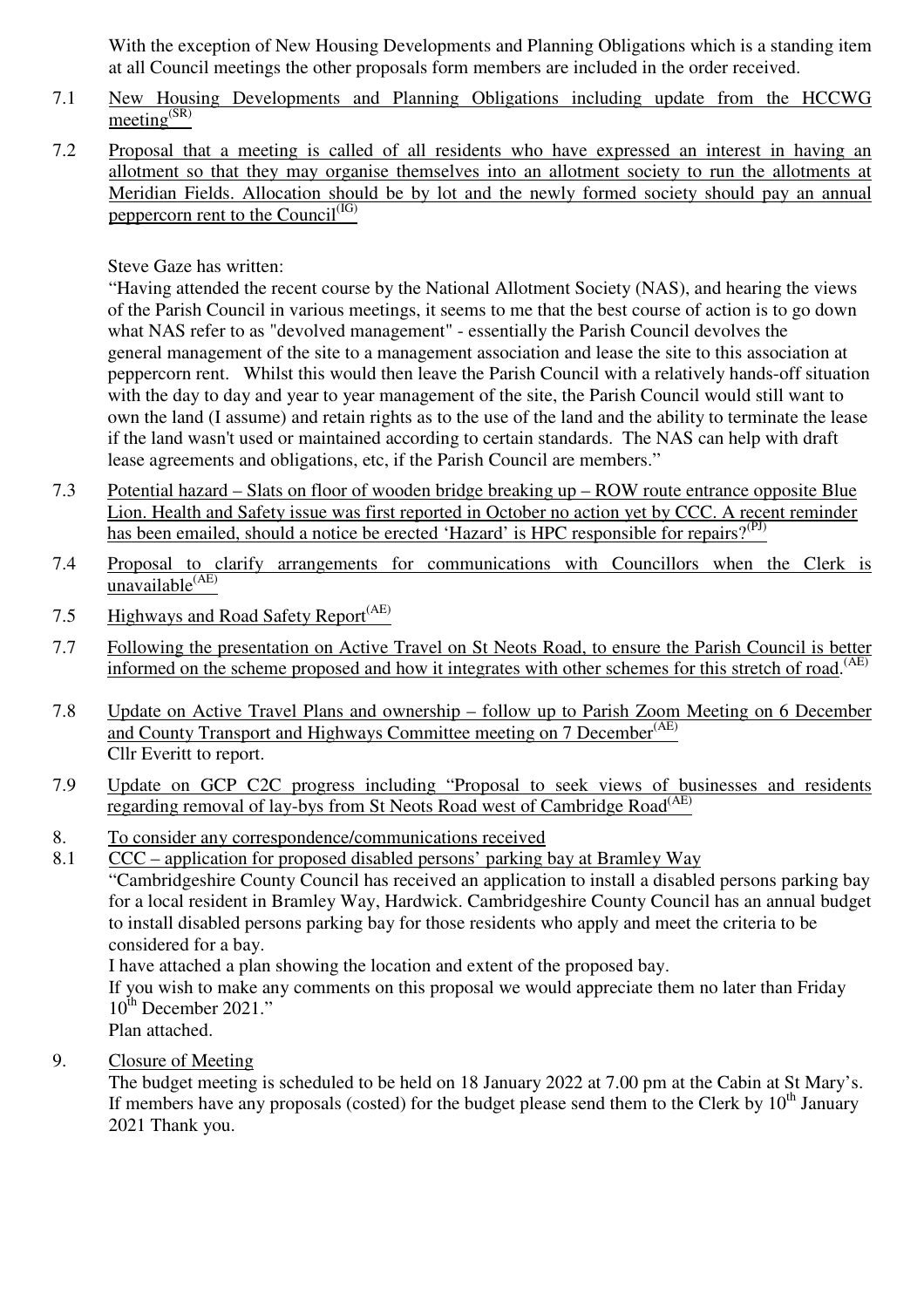With the exception of New Housing Developments and Planning Obligations which is a standing item at all Council meetings the other proposals form members are included in the order received.

- 7.1 New Housing Developments and Planning Obligations including update from the HCCWG  $\overline{\text{meeting}}^{\text{(SR)}}$
- 7.2 Proposal that a meeting is called of all residents who have expressed an interest in having an allotment so that they may organise themselves into an allotment society to run the allotments at Meridian Fields. Allocation should be by lot and the newly formed society should pay an annual peppercorn rent to the  $\overline{\text{Count}}^{\text{(IG)}}$

Steve Gaze has written:

"Having attended the recent course by the National Allotment Society (NAS), and hearing the views of the Parish Council in various meetings, it seems to me that the best course of action is to go down what NAS refer to as "devolved management" - essentially the Parish Council devolves the general management of the site to a management association and lease the site to this association at peppercorn rent. Whilst this would then leave the Parish Council with a relatively hands-off situation with the day to day and year to year management of the site, the Parish Council would still want to own the land (I assume) and retain rights as to the use of the land and the ability to terminate the lease if the land wasn't used or maintained according to certain standards. The NAS can help with draft lease agreements and obligations, etc, if the Parish Council are members."

- 7.3 Potential hazard Slats on floor of wooden bridge breaking up ROW route entrance opposite Blue Lion. Health and Safety issue was first reported in October no action yet by CCC. A recent reminder has been emailed, should a notice be erected 'Hazard' is HPC responsible for repairs?<sup>(PJ)</sup>
- 7.4 Proposal to clarify arrangements for communications with Councillors when the Clerk is unavailable<sup>(AE)</sup>
- 7.5 Highways and Road Safety Report<sup>(AE)</sup>
- 7.7 Following the presentation on Active Travel on St Neots Road, to ensure the Parish Council is better informed on the scheme proposed and how it integrates with other schemes for this stretch of road. (AE)
- 7.8 Update on Active Travel Plans and ownership follow up to Parish Zoom Meeting on 6 December and County Transport and Highways Committee meeting on 7 December<sup>(AE)</sup> Cllr Everitt to report.
- 7.9 Update on GCP C2C progress including "Proposal to seek views of businesses and residents regarding removal of lay-bys from St Neots Road west of Cambridge Road<sup>(AE)</sup>
- 8. To consider any correspondence/communications received
- 8.1 CCC application for proposed disabled persons' parking bay at Bramley Way

"Cambridgeshire County Council has received an application to install a disabled persons parking bay for a local resident in Bramley Way, Hardwick. Cambridgeshire County Council has an annual budget to install disabled persons parking bay for those residents who apply and meet the criteria to be considered for a bay.

I have attached a plan showing the location and extent of the proposed bay.

If you wish to make any comments on this proposal we would appreciate them no later than Friday 10<sup>th</sup> December 2021."

Plan attached.

9. Closure of Meeting

The budget meeting is scheduled to be held on 18 January 2022 at 7.00 pm at the Cabin at St Mary's. If members have any proposals (costed) for the budget please send them to the Clerk by  $10^{th}$  January 2021 Thank you.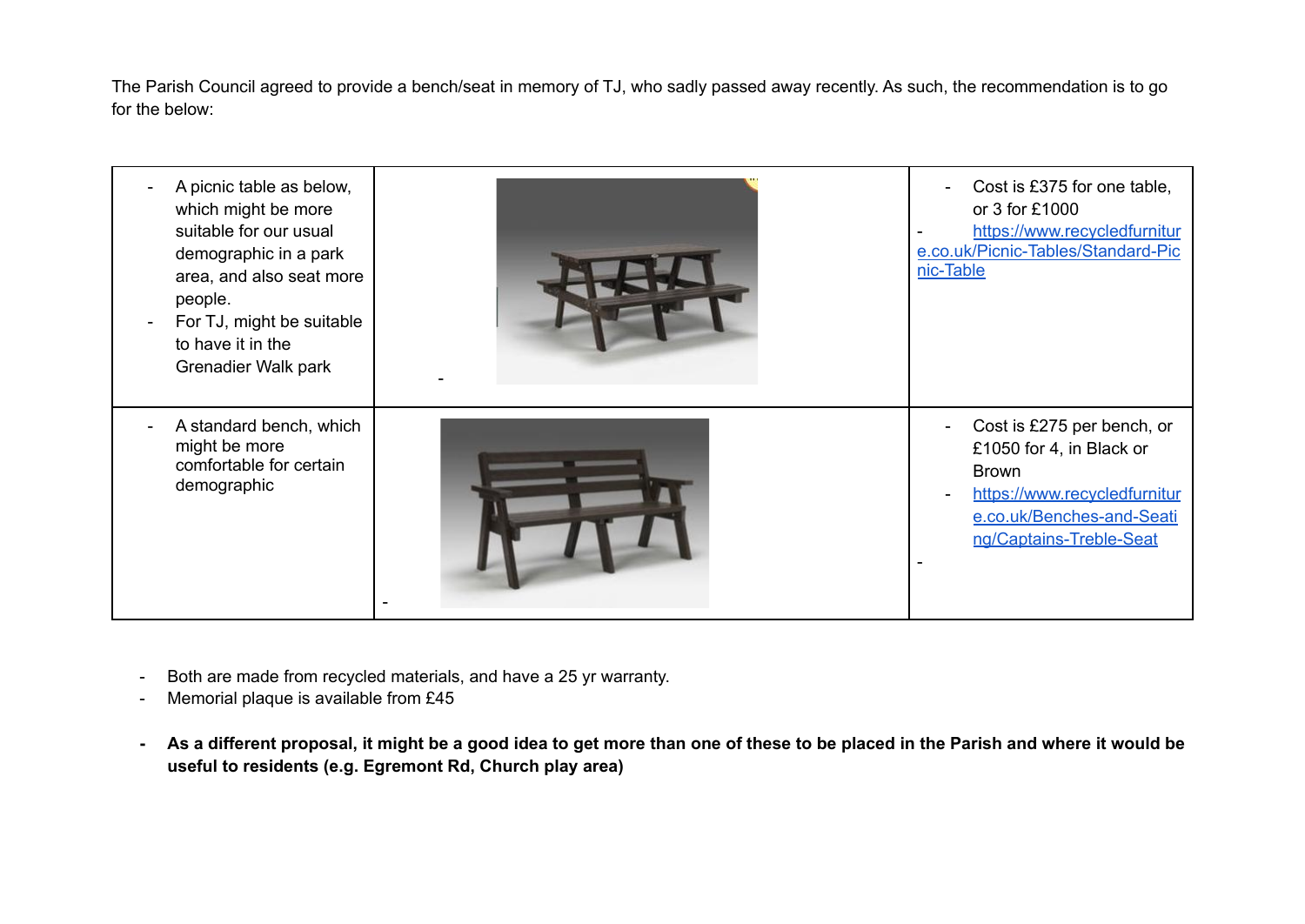The Parish Council agreed to provide a bench/seat in memory of TJ, who sadly passed away recently. As such, the recommendation is to go for the below:

| A picnic table as below,<br>which might be more<br>suitable for our usual<br>demographic in a park<br>area, and also seat more<br>people.<br>For TJ, might be suitable<br>to have it in the<br>Grenadier Walk park | Cost is £375 for one table,<br>or 3 for £1000<br>https://www.recycledfurnitur<br>e.co.uk/Picnic-Tables/Standard-Pic<br>nic-Table                               |
|--------------------------------------------------------------------------------------------------------------------------------------------------------------------------------------------------------------------|----------------------------------------------------------------------------------------------------------------------------------------------------------------|
| A standard bench, which<br>might be more<br>comfortable for certain<br>demographic                                                                                                                                 | Cost is £275 per bench, or<br>£1050 for 4, in Black or<br><b>Brown</b><br>https://www.recycledfurnitur<br>e.co.uk/Benches-and-Seati<br>ng/Captains-Treble-Seat |

- Both are made from recycled materials, and have a 25 yr warranty.
- Memorial plaque is available from £45
- As a different proposal, it might be a good idea to get more than one of these to be placed in the Parish and where it would be **useful to residents (e.g. Egremont Rd, Church play area)**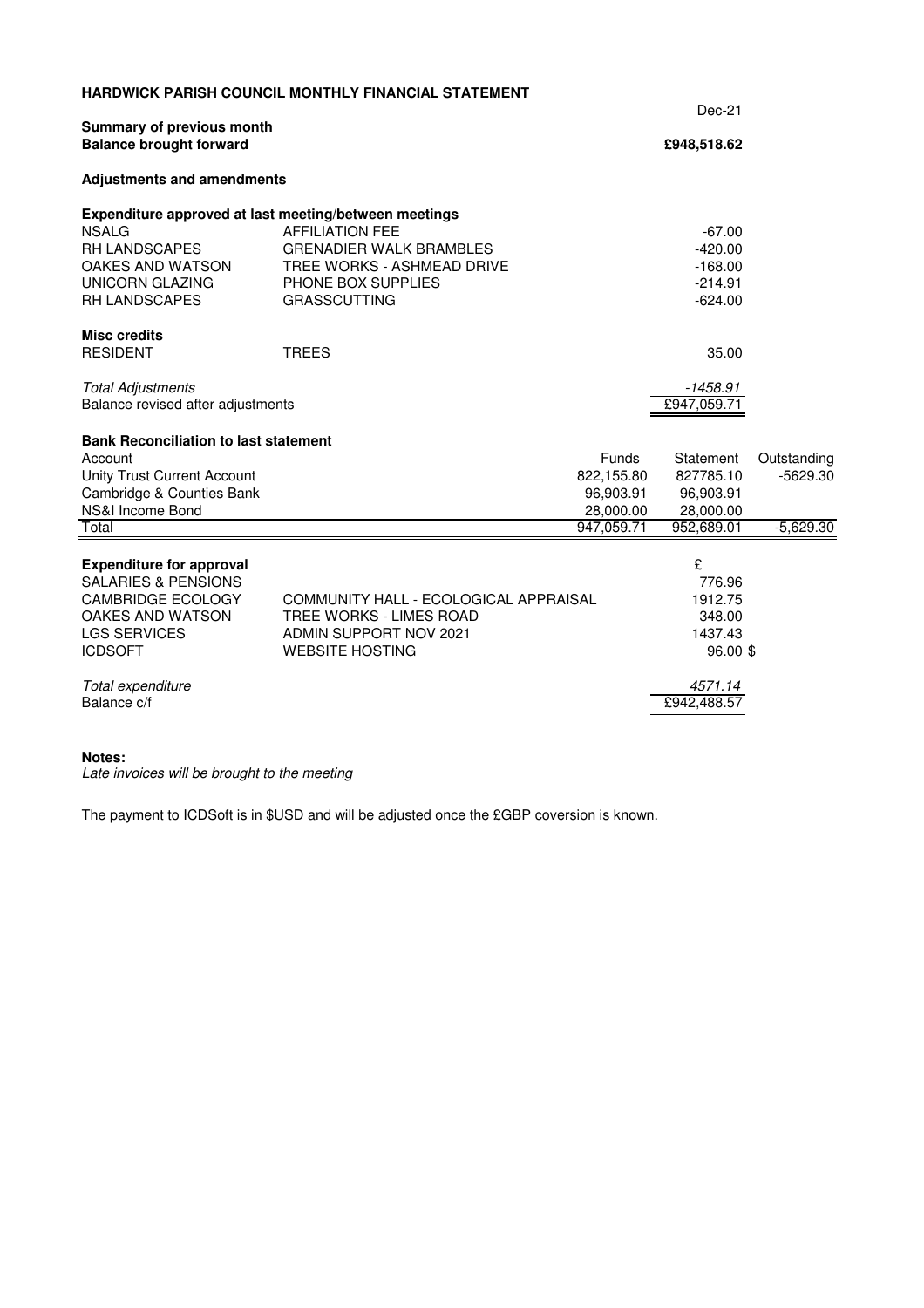|                                                                   | <b>HARDWICK PARISH COUNCIL MONTHLY FINANCIAL STATEMENT</b>   |                         |                         |             |
|-------------------------------------------------------------------|--------------------------------------------------------------|-------------------------|-------------------------|-------------|
|                                                                   |                                                              | $Dec-21$                |                         |             |
| Summary of previous month<br><b>Balance brought forward</b>       |                                                              | £948,518.62             |                         |             |
| <b>Adjustments and amendments</b>                                 |                                                              |                         |                         |             |
| Expenditure approved at last meeting/between meetings             |                                                              |                         |                         |             |
| <b>NSALG</b>                                                      | <b>AFFILIATION FEE</b>                                       |                         | $-67.00$                |             |
| RH LANDSCAPES<br>OAKES AND WATSON                                 | <b>GRENADIER WALK BRAMBLES</b><br>TREE WORKS - ASHMEAD DRIVE |                         | $-420.00$<br>$-168.00$  |             |
| <b>UNICORN GLAZING</b>                                            | PHONE BOX SUPPLIES                                           |                         | $-214.91$               |             |
| <b>RH LANDSCAPES</b>                                              | <b>GRASSCUTTING</b>                                          |                         | $-624.00$               |             |
| <b>Misc credits</b>                                               |                                                              |                         |                         |             |
| <b>RESIDENT</b>                                                   | <b>TREES</b>                                                 |                         | 35.00                   |             |
| <b>Total Adjustments</b>                                          |                                                              |                         | -1458.91                |             |
| Balance revised after adjustments                                 |                                                              |                         | £947,059.71             |             |
| <b>Bank Reconciliation to last statement</b>                      |                                                              |                         |                         |             |
| Account                                                           |                                                              | <b>Funds</b>            | Statement               | Outstanding |
| <b>Unity Trust Current Account</b>                                |                                                              | 822,155.80              | 827785.10               | $-5629.30$  |
| Cambridge & Counties Bank                                         |                                                              | 96,903.91               | 96,903.91               |             |
| NS&I Income Bond<br>Total                                         |                                                              | 28,000.00<br>947,059.71 | 28,000.00<br>952,689.01 | $-5,629.30$ |
|                                                                   |                                                              |                         |                         |             |
| <b>Expenditure for approval</b>                                   |                                                              |                         | £                       |             |
| <b>SALARIES &amp; PENSIONS</b>                                    |                                                              |                         | 776.96                  |             |
| <b>CAMBRIDGE ECOLOGY</b><br>COMMUNITY HALL - ECOLOGICAL APPRAISAL |                                                              |                         | 1912.75                 |             |
| OAKES AND WATSON<br>TREE WORKS - LIMES ROAD                       |                                                              |                         | 348.00                  |             |
| <b>LGS SERVICES</b>                                               | ADMIN SUPPORT NOV 2021                                       |                         | 1437.43                 |             |
| <b>ICDSOFT</b>                                                    | <b>WEBSITE HOSTING</b>                                       |                         | 96.00 \$                |             |
| Total expenditure                                                 |                                                              |                         | 4571.14                 |             |
| Balance c/f                                                       |                                                              |                         | £942,488.57             |             |
|                                                                   |                                                              |                         |                         |             |

#### **Notes:**

Late invoices will be brought to the meeting

The payment to ICDSoft is in \$USD and will be adjusted once the £GBP coversion is known.